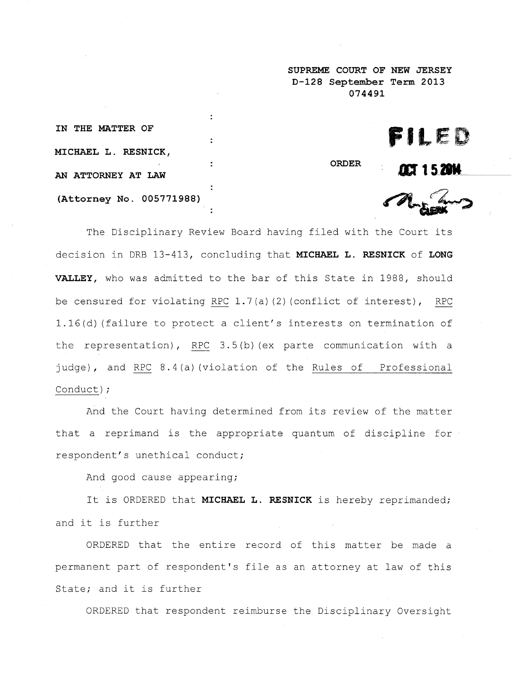**SUPREME COURT OF NEW JERSEY D-128 September Term 2013 074491**

| IN THE MATTER OF          |
|---------------------------|
| MICHAEL L. RESNICK,       |
| <b>AN ATTORNEY AT LAW</b> |
| (Attorney No. 005771988)  |

FILED

**ORDER**

**ACT 1520K** 

The Disciplinary Review Board having filed with the Court its decision in DRB 13-413, concluding that MICHAEL L. RESNICK of LONG VALLEY, who was admitted to the bar of this State in 1988, should be censured for violating RPC 1.7(a) (2) (conflict of interest), RPC 1.16(d) (failure to protect a client's interests on termination of the representation), RPC 3.5(b) (ex parte communication with a judge), and RPC 8.4(a)(violation of the Rules of Professional Conduct);

:

÷

And the Court having determined from its review of the matter that a reprimand is the appropriate quantum of discipline for respondent's unethical conduct;

And good cause appearing;

It is ORDERED that MICHAEL L. RESNICK is hereby reprimanded; and it is further

ORDERED that the entire record of this matter be made a permanent part of respondent's file as an attorney at law of this State; and it is further

ORDERED that respondent reimburse the Disciplinary Oversight